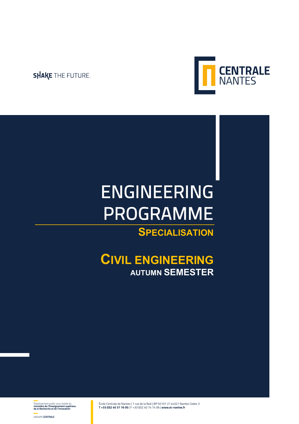### **SHAKE THE FUTURE.**



# ENGINEERING PROGRAMME

### **SPECIALISATION**

### **CIVIL ENGINEERING AUTUMN SEMESTER**

École Centrale de Nantes | 1 rue de la Noë | BP 92101 | F 44321 Nantes Cedex 3 **T +33 (0)2 40 37 16 00** | F +33 (0)2 40 74 74 06 | **www.ec-nantes.fr**

Établissement public sous tutelle du **ministère de l'Enseignement supérieur, de la Recherche et de l'Innovation**

GROUPE **CENTRALE**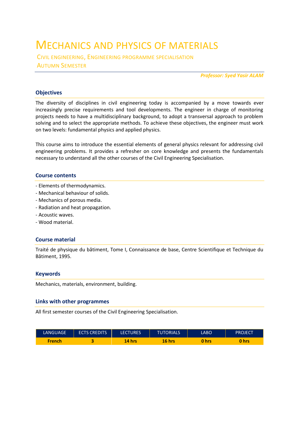### MECHANICS AND PHYSICS OF MATERIALS

CIVIL ENGINEERING, ENGINEERING PROGRAMME SPECIALISATION AUTUMN SEMESTER

*Professor: Syed Yasir ALAM*

#### **Objectives**

The diversity of disciplines in civil engineering today is accompanied by a move towards ever increasingly precise requirements and tool developments. The engineer in charge of monitoring projects needs to have a multidisciplinary background, to adopt a transversal approach to problem solving and to select the appropriate methods. To achieve these objectives, the engineer must work on two levels: fundamental physics and applied physics.

This course aims to introduce the essential elements of general physics relevant for addressing civil engineering problems. It provides a refresher on core knowledge and presents the fundamentals necessary to understand all the other courses of the Civil Engineering Specialisation.

#### **Course contents**

- Elements of thermodynamics.
- Mechanical behaviour of solids.
- Mechanics of porous media.
- Radiation and heat propagation.
- Acoustic waves.
- Wood material.

#### **Course material**

Traité de physique du bâtiment, Tome I, Connaissance de base, Centre Scientifique et Technique du Bâtiment, 1995.

#### **Keywords**

Mechanics, materials, environment, building.

#### **Links with other programmes**

All first semester courses of the Civil Engineering Specialisation.

| LANGUAGE,     | <b>ECTS CREDITS</b> | <b>LECTURES</b> | TUTORIALS' | LABO  | PROJECT |
|---------------|---------------------|-----------------|------------|-------|---------|
| <b>French</b> |                     | hrs<br>A        | 16 hrs     | 0 hrs | hrs     |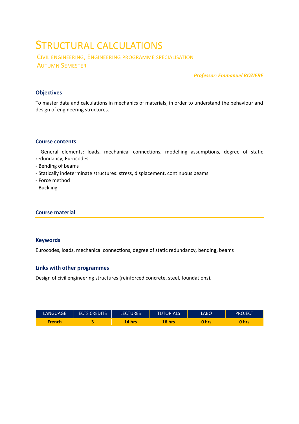### STRUCTURAL CALCULATIONS

CIVIL ENGINEERING, ENGINEERING PROGRAMME SPECIALISATION AUTUMN SEMESTER

*Professor: Emmanuel ROZIERE* 

#### **Objectives**

To master data and calculations in mechanics of materials, in order to understand the behaviour and design of engineering structures.

#### **Course contents**

- General elements: loads, mechanical connections, modelling assumptions, degree of static redundancy, Eurocodes

- Bending of beams
- Statically indeterminate structures: stress, displacement, continuous beams
- Force method
- Buckling

#### **Course material**

#### **Keywords**

Eurocodes, loads, mechanical connections, degree of static redundancy, bending, beams

#### **Links with other programmes**

Design of civil engineering structures (reinforced concrete, steel, foundations).

| LANGUAGE      | <b>ECTS CREDITS</b> | <b>LECTURES</b> | <b>TUTORIALS</b> | LABO  | <b>PROJECT</b> |
|---------------|---------------------|-----------------|------------------|-------|----------------|
| <b>French</b> |                     | 14 hrs          | $16$ hrs         | 0 hrs | 0 hrs          |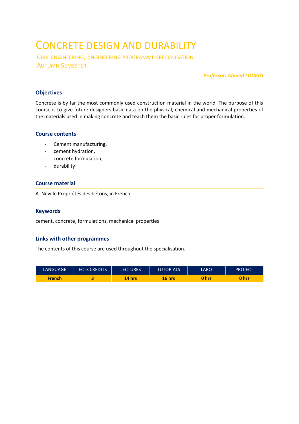### CONCRETE DESIGN AND DURABILITY

CIVIL ENGINEERING, ENGINEERING PROGRAMME SPECIALISATION AUTUMN SEMESTER

*Professor: Ahmed LOUKILI* 

#### **Objectives**

Concrete is by far the most commonly used construction material in the world. The purpose of this course is to give future designers basic data on the physical, chemical and mechanical properties of the materials used in making concrete and teach them the basic rules for proper formulation.

#### **Course contents**

- Cement manufacturing,
- cement hydration,
- concrete formulation,
- durability

#### **Course material**

A. Neville Propriétés des bétons, in French.

#### **Keywords**

cement, concrete, formulations, mechanical properties

#### **Links with other programmes**

The contents of this course are used throughout the specialisation.

| <b>LANGUAGE</b> | <b>ECTS CREDITS'</b> | <b>LECTURES</b> | <b>TUTORIALS</b> | LABO  | PROJECT |
|-----------------|----------------------|-----------------|------------------|-------|---------|
| <b>French</b>   |                      | 14 hrs          | 16 hrs           | 0 hrs | hrs     |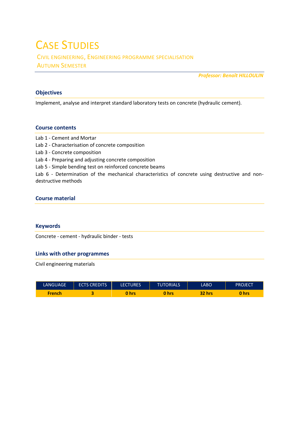# CASE STUDIES

CIVIL ENGINEERING, ENGINEERING PROGRAMME SPECIALISATION AUTUMN SEMESTER

*Professor: Benoît HILLOULIN* 

#### **Objectives**

Implement, analyse and interpret standard laboratory tests on concrete (hydraulic cement).

#### **Course contents**

Lab 1 - Cement and Mortar

- Lab 2 Characterisation of concrete composition
- Lab 3 Concrete composition
- Lab 4 Preparing and adjusting concrete composition
- Lab 5 Simple bending test on reinforced concrete beams

Lab 6 - Determination of the mechanical characteristics of concrete using destructive and nondestructive methods

#### **Course material**

#### **Keywords**

Concrete - cement - hydraulic binder - tests

#### **Links with other programmes**

Civil engineering materials

| <b>LANGUAGE</b> | <b>ECTS CREDITS</b> | <b>LECTURES</b> | <b>TUTORIALS</b> | <b>LABO</b> | <b>PROJECT</b> |
|-----------------|---------------------|-----------------|------------------|-------------|----------------|
| <b>French</b>   |                     | hrs             | hrs              | 32 hrs      | 0 hrs          |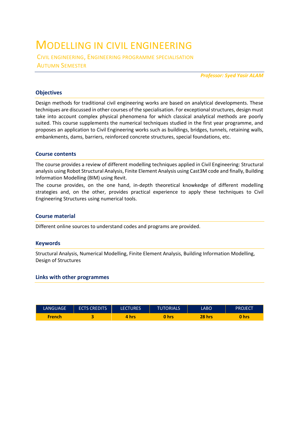### MODELLING IN CIVIL ENGINEERING

CIVIL ENGINEERING, ENGINEERING PROGRAMME SPECIALISATION AUTUMN SEMESTER

*Professor: Syed Yasir ALAM*

#### **Objectives**

Design methods for traditional civil engineering works are based on analytical developments. These techniques are discussed in other courses of the specialisation. For exceptional structures, design must take into account complex physical phenomena for which classical analytical methods are poorly suited. This course supplements the numerical techniques studied in the first year programme, and proposes an application to Civil Engineering works such as buildings, bridges, tunnels, retaining walls, embankments, dams, barriers, reinforced concrete structures, special foundations, etc.

#### **Course contents**

The course provides a review of different modelling techniques applied in Civil Engineering: Structural analysis using Robot Structural Analysis, Finite Element Analysis using Cast3M code and finally, Building Information Modelling (BIM) using Revit.

The course provides, on the one hand, in-depth theoretical knowkedge of different modelling strategies and, on the other, provides practical experience to apply these techniques to Civil Engineering Structures using numerical tools.

#### **Course material**

Different online sources to understand codes and programs are provided.

#### **Keywords**

Structural Analysis, Numerical Modelling, Finite Element Analysis, Building Information Modelling, Design of Structures

#### **Links with other programmes**

| <b>LANGUAGE</b> | <b>ECTS CREDITS</b> | <b>LECTURES</b> | <b>TUTORIALS</b> | LABO   | PROJECT |
|-----------------|---------------------|-----------------|------------------|--------|---------|
| French          |                     | hrs             | 0<br>hrs         | 28 hrs | hrs     |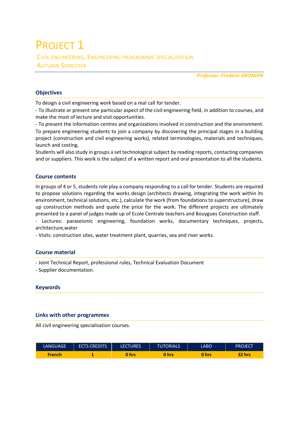### PROJECT<sub>1</sub> CIVIL ENGINEERING, ENGINEERING PROGRAMME SPECIALISATION AUTUMN SEMESTER

*Professor: Frederic GRONDIN* 

#### **Objectives**

To design a civil engineering work based on a real call for tender.

- To illustrate or present one particular aspect of the civil engineering field, in addition to courses, and make the most of lecture and visit opportunities.

- To present the information centres and organizations involved in construction and the environment. To prepare engineering students to join a company by discovering the principal stages in a building project (construction and civil engineering works), related terminologies, materials and techniques, launch and costing.

Students will also study in groups a set technological subject by reading reports, contacting companies and or suppliers. This work is the subject of a written report and oral presentation to all the students.

#### **Course contents**

In groups of 4 or 5, students role play a company responding to a call for tender. Students are required to propose solutions regarding the works design (architects drawing, integrating the work within its environment, technical solutions, etc.), calculate the work (from foundations to superstructure), draw up construction methods and quote the price for the work. The different projects are ultimately presented to a panel of judges made up of Ecole Centrale teachers and Bouygues Construction staff.

- Lectures: paraseismic engineering, foundation works, documentary techniques, projects, architecture,water

- Visits: construction sites, water treatment plant, quarries, sea and river works.

#### **Course material**

- Joint Technical Report, professional rules, Technical Evaluation Document

- Supplier documentation.

#### **Keywords**

#### **Links with other programmes**

All civil engineering specialisation courses.

| <b>LANGUAGE</b> | <b>ECTS CREDITS</b> | <b>LECTURES</b> | <b>TUTORIALS</b> | LABO  | PROJECT |
|-----------------|---------------------|-----------------|------------------|-------|---------|
| <b>French</b>   |                     | 0 hrs           | 0 hrs            | 0 hrs | 32 hrs  |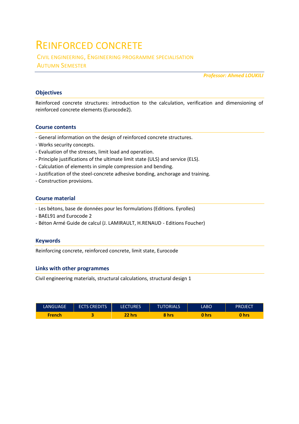### REINFORCED CONCRETE

CIVIL ENGINEERING, ENGINEERING PROGRAMME SPECIALISATION AUTUMN SEMESTER

*Professor: Ahmed LOUKILI* 

#### **Objectives**

Reinforced concrete structures: introduction to the calculation, verification and dimensioning of reinforced concrete elements (Eurocode2).

#### **Course contents**

- General information on the design of reinforced concrete structures.
- Works security concepts.
- Evaluation of the stresses, limit load and operation.
- Principle justifications of the ultimate limit state (ULS) and service (ELS).
- Calculation of elements in simple compression and bending.
- Justification of the steel-concrete adhesive bonding, anchorage and training.
- Construction provisions.

#### **Course material**

- Les bétons, base de données pour les formulations (Editions. Eyrolles)
- BAEL91 and Eurocode 2
- Béton Armé Guide de calcul (J. LAMIRAULT, H.RENAUD Editions Foucher)

#### **Keywords**

Reinforcing concrete, reinforced concrete, limit state, Eurocode

#### **Links with other programmes**

Civil engineering materials, structural calculations, structural design 1

| LANGUAGE.     | <b>ECTS CREDITS</b> | <b>LECTURES</b> | <b>TUTORIALS</b> | LABO  | <b>PROJECT</b> |
|---------------|---------------------|-----------------|------------------|-------|----------------|
| <b>French</b> |                     | <u>יזו 2?</u>   | 8 hrs            | 0 hrs | <b>hrs</b>     |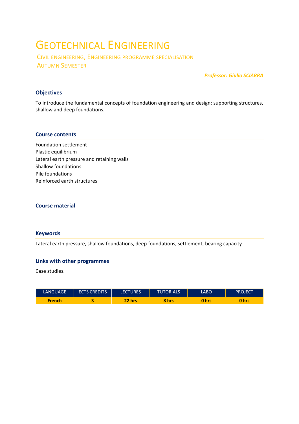## GEOTECHNICAL ENGINEERING

CIVIL ENGINEERING, ENGINEERING PROGRAMME SPECIALISATION AUTUMN SEMESTER

*Professor: Giulio SCIARRA* 

#### **Objectives**

To introduce the fundamental concepts of foundation engineering and design: supporting structures, shallow and deep foundations.

#### **Course contents**

Foundation settlement Plastic equilibrium Lateral earth pressure and retaining walls Shallow foundations Pile foundations Reinforced earth structures

#### **Course material**

#### **Keywords**

Lateral earth pressure, shallow foundations, deep foundations, settlement, bearing capacity

#### **Links with other programmes**

Case studies.

| <b>LANGUAGE</b> | <b>ECTS CREDITS</b> | <b>LECTURES</b>                          | <b>TUTORIALS</b> | LABO  | PROJECT |
|-----------------|---------------------|------------------------------------------|------------------|-------|---------|
| <b>French</b>   |                     | $\overline{\mathbf{r}^{\mathsf{p}}}$ hrs | 8<br><b>hrs</b>  | 0 hrs | hrs     |